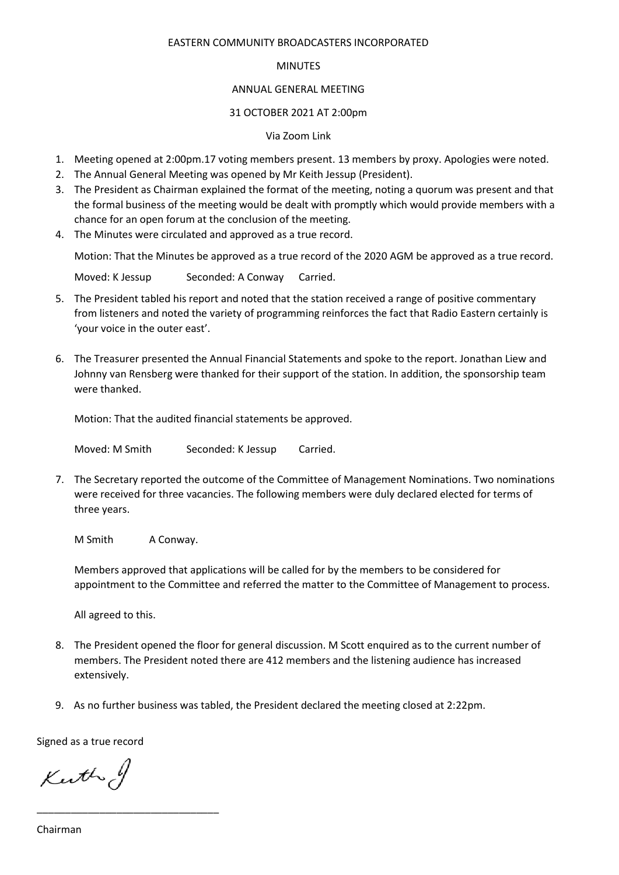## EASTERN COMMUNITY BROADCASTERS INCORPORATED

## MINUTES

## ANNUAL GENERAL MEETING

# 31 OCTOBER 2021 AT 2:00pm

# Via Zoom Link

- 1. Meeting opened at 2:00pm.17 voting members present. 13 members by proxy. Apologies were noted.
- 2. The Annual General Meeting was opened by Mr Keith Jessup (President).
- 3. The President as Chairman explained the format of the meeting, noting a quorum was present and that the formal business of the meeting would be dealt with promptly which would provide members with a chance for an open forum at the conclusion of the meeting.
- 4. The Minutes were circulated and approved as a true record.

Motion: That the Minutes be approved as a true record of the 2020 AGM be approved as a true record.

Moved: K Jessup Seconded: A Conway Carried.

- 5. The President tabled his report and noted that the station received a range of positive commentary from listeners and noted the variety of programming reinforces the fact that Radio Eastern certainly is 'your voice in the outer east'.
- 6. The Treasurer presented the Annual Financial Statements and spoke to the report. Jonathan Liew and Johnny van Rensberg were thanked for their support of the station. In addition, the sponsorship team were thanked.

Motion: That the audited financial statements be approved.

Moved: M Smith Seconded: K Jessup Carried.

7. The Secretary reported the outcome of the Committee of Management Nominations. Two nominations were received for three vacancies. The following members were duly declared elected for terms of three years.

M Smith A Conway.

Members approved that applications will be called for by the members to be considered for appointment to the Committee and referred the matter to the Committee of Management to process.

All agreed to this.

- 8. The President opened the floor for general discussion. M Scott enquired as to the current number of members. The President noted there are 412 members and the listening audience has increased extensively.
- 9. As no further business was tabled, the President declared the meeting closed at 2:22pm.

Signed as a true record

Kerthof

\_\_\_\_\_\_\_\_\_\_\_\_\_\_\_\_\_\_\_\_\_\_\_\_\_\_\_\_\_\_\_\_

Chairman